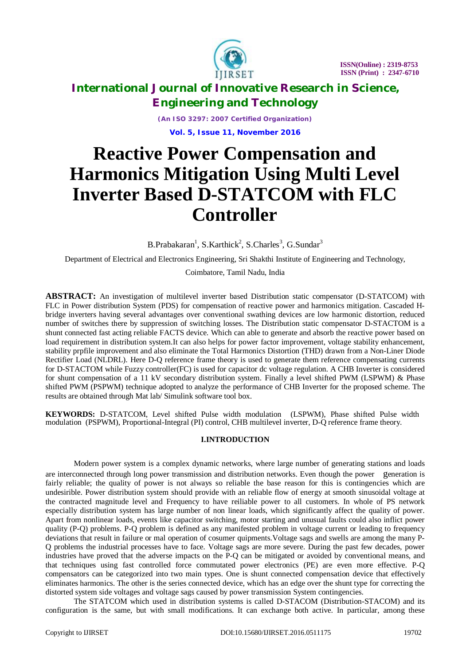

*(An ISO 3297: 2007 Certified Organization)* **Vol. 5, Issue 11, November 2016**

# **Reactive Power Compensation and Harmonics Mitigation Using Multi Level Inverter Based D-STATCOM with FLC Controller**

 $B.Prabakaran<sup>1</sup>, S.Karthick<sup>2</sup>, S.Charles<sup>3</sup>, G.Sundar<sup>3</sup>$ 

Department of Electrical and Electronics Engineering, Sri Shakthi Institute of Engineering and Technology,

Coimbatore, Tamil Nadu, India

**ABSTRACT:** An investigation of multilevel inverter based Distribution static compensator (D-STATCOM) with FLC in Power distribution System (PDS) for compensation of reactive power and harmonics mitigation. Cascaded Hbridge inverters having several advantages over conventional swathing devices are low harmonic distortion, reduced number of switches there by suppression of switching losses. The Distribution static compensator D-STACTOM is a shunt connected fast acting reliable FACTS device. Which can able to generate and absorb the reactive power based on load requirement in distribution system.It can also helps for power factor improvement, voltage stability enhancement, stability prpfile improvement and also eliminate the Total Harmonics Distortion (THD) drawn from a Non-Liner Diode Rectifier Load (NLDRL). Here D-Q reference frame theory is used to generate them reference compensating currents for D-STACTOM while Fuzzy controller(FC) is used for capacitor dc voltage regulation. A CHB Inverter is considered for shunt compensation of a 11 kV secondary distribution system. Finally a level shifted PWM (LSPWM) & Phase shifted PWM (PSPWM) technique adopted to analyze the performance of CHB Inverter for the proposed scheme. The results are obtained through Mat lab/ Simulink software tool box.

**KEYWORDS:** D-STATCOM, Level shifted Pulse width modulation (LSPWM), Phase shifted Pulse width modulation (PSPWM), Proportional-Integral (PI) control, CHB multilevel inverter, D-Q reference frame theory.

### **I.INTRODUCTION**

Modern power system is a complex dynamic networks, where large number of generating stations and loads are interconnected through long power transmission and distribution networks. Even though the power generation is fairly reliable; the quality of power is not always so reliable the base reason for this is contingencies which are undesirible. Power distribution system should provide with an reliable flow of energy at smooth sinusoidal voltage at the contracted magnitude level and Frequency to have reiliable power to all customers. In whole of PS network especially distribution system has large number of non linear loads, which significantly affect the quality of power. Apart from nonlinear loads, events like capacitor switching, motor starting and unusual faults could also inflict power quality (P-Q) problems. P-Q problem is defined as any manifested problem in voltage current or leading to frequency deviations that result in failure or mal operation of cosumer quipments.Voltage sags and swells are among the many P-Q problems the industrial processes have to face. Voltage sags are more severe. During the past few decades, power industries have proved that the adverse impacts on the P-Q can be mitigated or avoided by conventional means, and that techniques using fast controlled force commutated power electronics (PE) are even more effective. P-Q compensators can be categorized into two main types. One is shunt connected compensation device that effectively eliminates harmonics. The other is the series connected device, which has an edge over the shunt type for correcting the distorted system side voltages and voltage sags caused by power transmission System contingencies.

The STATCOM which used in distribution systems is called D-STACOM (Distribution-STACOM) and its configuration is the same, but with small modifications. It can exchange both active. In particular, among these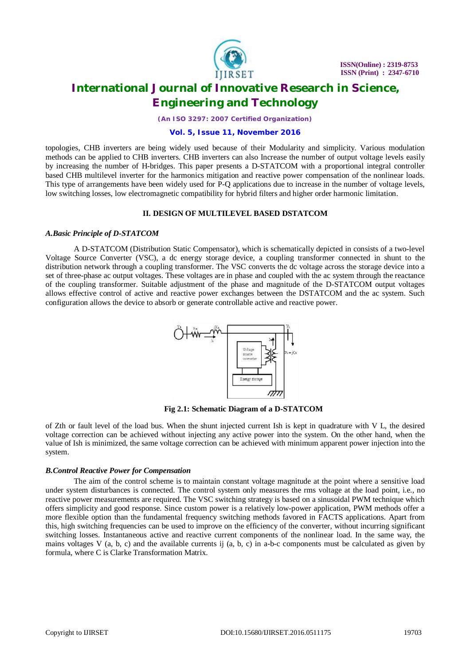

*(An ISO 3297: 2007 Certified Organization)*

#### **Vol. 5, Issue 11, November 2016**

topologies, CHB inverters are being widely used because of their Modularity and simplicity. Various modulation methods can be applied to CHB inverters. CHB inverters can also Increase the number of output voltage levels easily by increasing the number of H-bridges. This paper presents a D-STATCOM with a proportional integral controller based CHB multilevel inverter for the harmonics mitigation and reactive power compensation of the nonlinear loads. This type of arrangements have been widely used for P-Q applications due to increase in the number of voltage levels, low switching losses, low electromagnetic compatibility for hybrid filters and higher order harmonic limitation.

### **II. DESIGN OF MULTILEVEL BASED DSTATCOM**

#### *A.Basic Principle of D-STATCOM*

A D-STATCOM (Distribution Static Compensator), which is schematically depicted in consists of a two-level Voltage Source Converter (VSC), a dc energy storage device, a coupling transformer connected in shunt to the distribution network through a coupling transformer. The VSC converts the dc voltage across the storage device into a set of three-phase ac output voltages. These voltages are in phase and coupled with the ac system through the reactance of the coupling transformer. Suitable adjustment of the phase and magnitude of the D-STATCOM output voltages allows effective control of active and reactive power exchanges between the DSTATCOM and the ac system. Such configuration allows the device to absorb or generate controllable active and reactive power.



**Fig 2.1: Schematic Diagram of a D-STATCOM**

of Zth or fault level of the load bus. When the shunt injected current Ish is kept in quadrature with V L, the desired voltage correction can be achieved without injecting any active power into the system. On the other hand, when the value of Ish is minimized, the same voltage correction can be achieved with minimum apparent power injection into the system.

#### *B.Control Reactive Power for Compensation*

The aim of the control scheme is to maintain constant voltage magnitude at the point where a sensitive load under system disturbances is connected. The control system only measures the rms voltage at the load point, i.e., no reactive power measurements are required. The VSC switching strategy is based on a sinusoidal PWM technique which offers simplicity and good response. Since custom power is a relatively low-power application, PWM methods offer a more flexible option than the fundamental frequency switching methods favored in FACTS applications. Apart from this, high switching frequencies can be used to improve on the efficiency of the converter, without incurring significant switching losses. Instantaneous active and reactive current components of the nonlinear load. In the same way, the mains voltages V (a, b, c) and the available currents ij (a, b, c) in a-b-c components must be calculated as given by formula, where C is Clarke Transformation Matrix.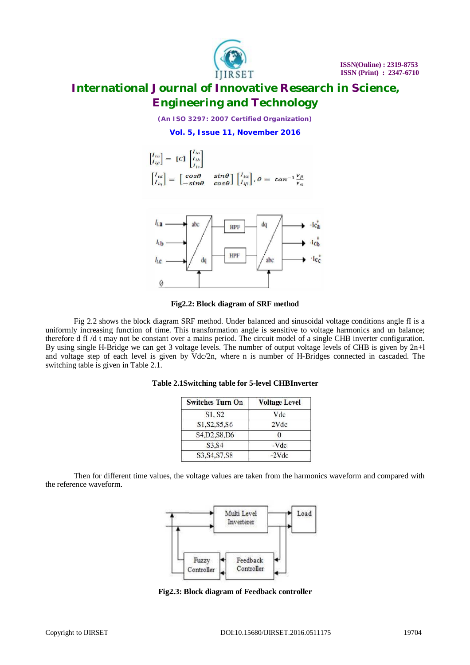

*(An ISO 3297: 2007 Certified Organization)*

**Vol. 5, Issue 11, November 2016**







Fig 2.2 shows the block diagram SRF method. Under balanced and sinusoidal voltage conditions angle fI is a uniformly increasing function of time. This transformation angle is sensitive to voltage harmonics and un balance; therefore d fI /d t may not be constant over a mains period. The circuit model of a single CHB inverter configuration. By using single H-Bridge we can get 3 voltage levels. The number of output voltage levels of CHB is given by 2n+l and voltage step of each level is given by Vdc/2n, where n is number of H-Bridges connected in cascaded. The switching table is given in Table 2.1.

| <b>Switches Turn On</b>                                           | <b>Voltage Level</b> |  |
|-------------------------------------------------------------------|----------------------|--|
| S1, S2                                                            | Vdc                  |  |
| S1, S2, S5, S6                                                    | 2Vdc                 |  |
| S <sub>4</sub> , D <sub>2</sub> , S <sub>8</sub> , D <sub>6</sub> |                      |  |
| S3, S4                                                            | $-Vdc$               |  |
| S3, S4, S7, S8                                                    | $-2Vdc$              |  |

#### **Table 2.1Switching table for 5-level CHBInverter**

Then for different time values, the voltage values are taken from the harmonics waveform and compared with the reference waveform.



**Fig2.3: Block diagram of Feedback controller**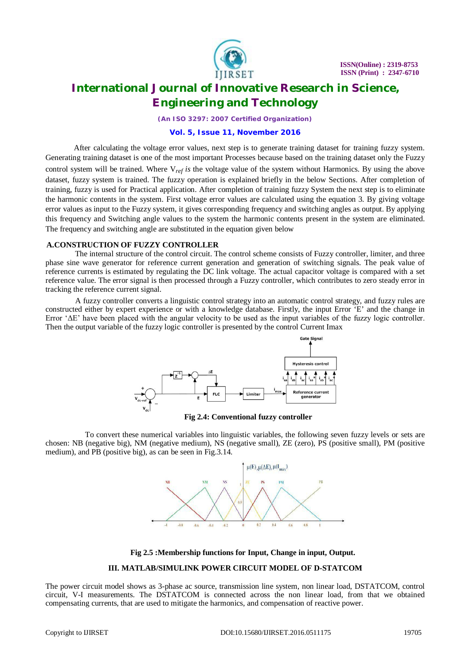

*(An ISO 3297: 2007 Certified Organization)*

#### **Vol. 5, Issue 11, November 2016**

After calculating the voltage error values, next step is to generate training dataset for training fuzzy system. Generating training dataset is one of the most important Processes because based on the training dataset only the Fuzzy control system will be trained. Where V*ref is* the voltage value of the system without Harmonics. By using the above dataset, fuzzy system is trained. The fuzzy operation is explained briefly in the below Sections. After completion of training, fuzzy is used for Practical application. After completion of training fuzzy System the next step is to eliminate the harmonic contents in the system. First voltage error values are calculated using the equation 3. By giving voltage error values as input to the Fuzzy system, it gives corresponding frequency and switching angles as output. By applying this frequency and Switching angle values to the system the harmonic contents present in the system are eliminated. The frequency and switching angle are substituted in the equation given below

#### **A.CONSTRUCTION OF FUZZY CONTROLLER**

The internal structure of the control circuit. The control scheme consists of Fuzzy controller, limiter, and three phase sine wave generator for reference current generation and generation of switching signals. The peak value of reference currents is estimated by regulating the DC link voltage. The actual capacitor voltage is compared with a set reference value. The error signal is then processed through a Fuzzy controller, which contributes to zero steady error in tracking the reference current signal.

A fuzzy controller converts a linguistic control strategy into an automatic control strategy, and fuzzy rules are constructed either by expert experience or with a knowledge database. Firstly, the input Error 'E' and the change in Error 'ΔE' have been placed with the angular velocity to be used as the input variables of the fuzzy logic controller. Then the output variable of the fuzzy logic controller is presented by the control Current Imax



 **Fig 2.4: Conventional fuzzy controller**

To convert these numerical variables into linguistic variables, the following seven fuzzy levels or sets are chosen: NB (negative big), NM (negative medium), NS (negative small), ZE (zero), PS (positive small), PM (positive medium), and PB (positive big), as can be seen in Fig.3.14.



 **Fig 2.5 :Membership functions for Input, Change in input, Output.**

#### **III. MATLAB/SIMULINK POWER CIRCUIT MODEL OF D-STATCOM**

The power circuit model shows as 3-phase ac source, transmission line system, non linear load, DSTATCOM, control circuit, V-I measurements. The DSTATCOM is connected across the non linear load, from that we obtained compensating currents, that are used to mitigate the harmonics, and compensation of reactive power.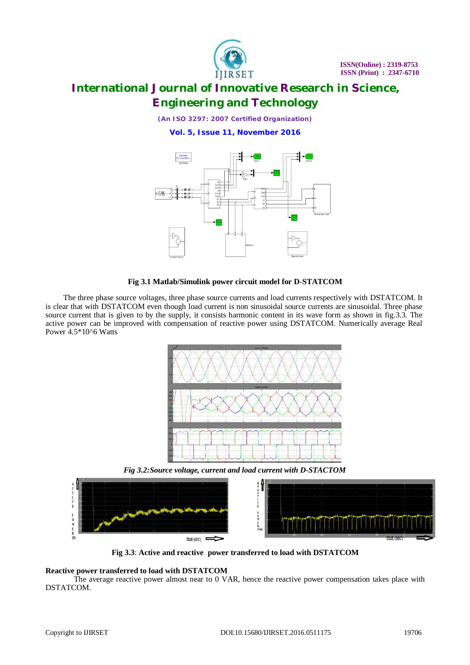

*(An ISO 3297: 2007 Certified Organization)*

**Vol. 5, Issue 11, November 2016**



#### **Fig 3.1 Matlab/Simulink power circuit model for D-STATCOM**

The three phase source voltages, three phase source currents and load currents respectively with DSTATCOM. It is clear that with DSTATCOM even though load current is non sinusoidal source currents are sinusoidal. Three phase source current that is given to by the supply, it consists harmonic content in its wave form as shown in fig.3.3. The active power can be improved with compensation of reactive power using DSTATCOM. Numerically average Real Power 4.5\*10^6 Watts



*Fig 3.2:Source voltage, current and load current with D-STACTOM*



**Fig 3.3**: **Active and reactive power transferred to load with DSTATCOM**

#### **Reactive power transferred to load with DSTATCOM**

The average reactive power almost near to 0 VAR, hence the reactive power compensation takes place with DSTATCOM.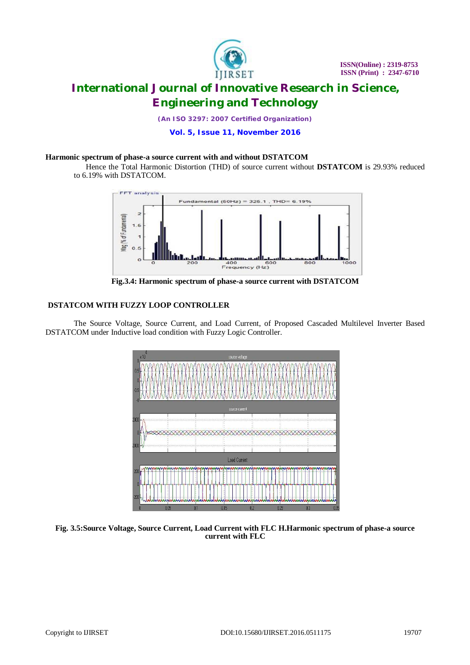

*(An ISO 3297: 2007 Certified Organization)*

**Vol. 5, Issue 11, November 2016**

### **Harmonic spectrum of phase-a source current with and without DSTATCOM**

Hence the Total Harmonic Distortion (THD) of source current without **DSTATCOM** is 29.93% reduced to 6.19% with DSTATCOM.



**Fig.3.4: Harmonic spectrum of phase-a source current with DSTATCOM**

### **DSTATCOM WITH FUZZY LOOP CONTROLLER**

The Source Voltage, Source Current, and Load Current, of Proposed Cascaded Multilevel Inverter Based DSTATCOM under Inductive load condition with Fuzzy Logic Controller.



**Fig. 3.5:Source Voltage, Source Current, Load Current with FLC H.Harmonic spectrum of phase-a source current with FLC**